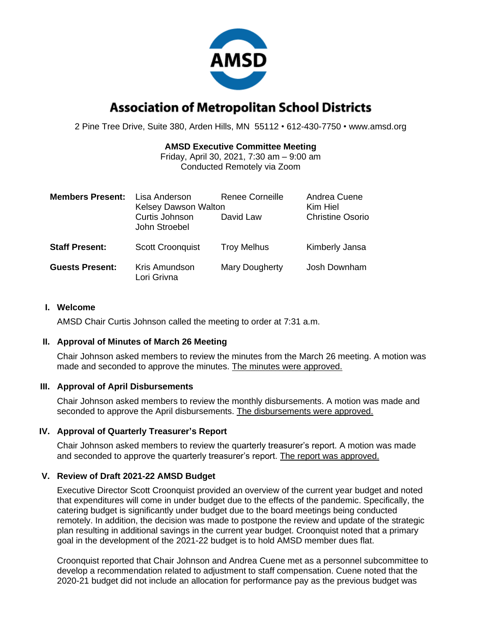

# **Association of Metropolitan School Districts**

2 Pine Tree Drive, Suite 380, Arden Hills, MN 55112 • 612-430-7750 • www.amsd.org

# **AMSD Executive Committee Meeting**

Friday, April 30, 2021, 7:30 am – 9:00 am Conducted Remotely via Zoom

| <b>Members Present:</b> | Lisa Anderson<br><b>Kelsey Dawson Walton</b><br>Curtis Johnson<br>John Stroebel | Renee Corneille<br>David Law | Andrea Cuene<br>Kim Hiel<br><b>Christine Osorio</b> |
|-------------------------|---------------------------------------------------------------------------------|------------------------------|-----------------------------------------------------|
| <b>Staff Present:</b>   | <b>Scott Croonquist</b>                                                         | <b>Troy Melhus</b>           | Kimberly Jansa                                      |
| <b>Guests Present:</b>  | Kris Amundson<br>Lori Grivna                                                    | Mary Dougherty               | Josh Downham                                        |

#### **I. Welcome**

AMSD Chair Curtis Johnson called the meeting to order at 7:31 a.m.

### **II. Approval of Minutes of March 26 Meeting**

Chair Johnson asked members to review the minutes from the March 26 meeting. A motion was made and seconded to approve the minutes. The minutes were approved.

### **III. Approval of April Disbursements**

Chair Johnson asked members to review the monthly disbursements. A motion was made and seconded to approve the April disbursements. The disbursements were approved.

### **IV. Approval of Quarterly Treasurer's Report**

Chair Johnson asked members to review the quarterly treasurer's report. A motion was made and seconded to approve the quarterly treasurer's report. The report was approved.

### **V. Review of Draft 2021-22 AMSD Budget**

Executive Director Scott Croonquist provided an overview of the current year budget and noted that expenditures will come in under budget due to the effects of the pandemic. Specifically, the catering budget is significantly under budget due to the board meetings being conducted remotely. In addition, the decision was made to postpone the review and update of the strategic plan resulting in additional savings in the current year budget. Croonquist noted that a primary goal in the development of the 2021-22 budget is to hold AMSD member dues flat.

Croonquist reported that Chair Johnson and Andrea Cuene met as a personnel subcommittee to develop a recommendation related to adjustment to staff compensation. Cuene noted that the 2020-21 budget did not include an allocation for performance pay as the previous budget was